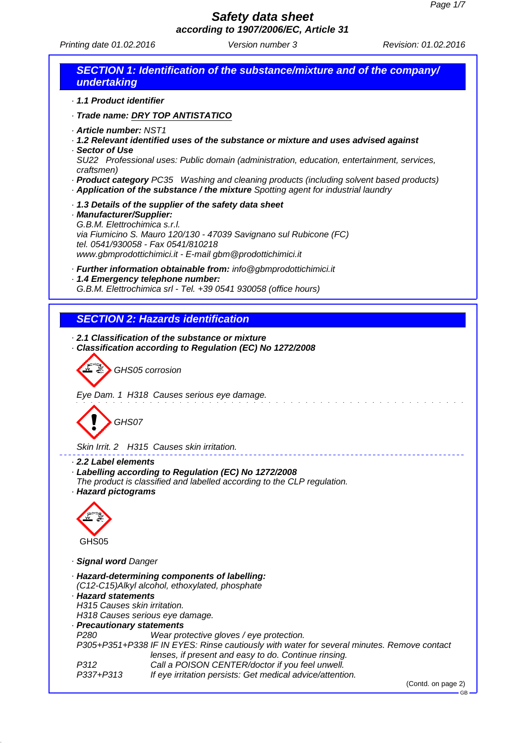Printing date 01.02.2016 **Version number 3** Revision: 01.02.2016

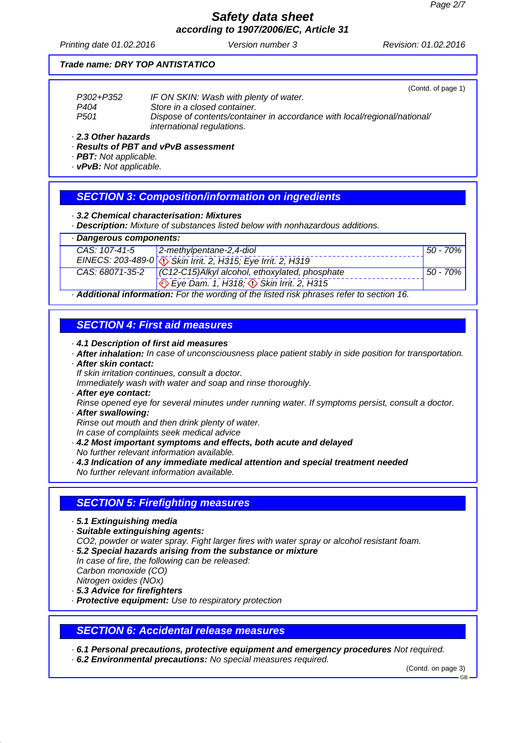# *Safety data sheet*

*according to 1907/2006/EC, Article 31*

Printing date 01.02.2016 **Version number 3** Revision: 01.02.2016

#### *Trade name: DRY TOP ANTISTATICO*

(Contd. of page 1) *P302+P352 IF ON SKIN: Wash with plenty of water. P404 Store in a closed container. P501 Dispose of contents/container in accordance with local/regional/national/ international regulations.*

*· 2.3 Other hazards*

*· Results of PBT and vPvB assessment*

- *· PBT: Not applicable.*
- *· vPvB: Not applicable.*

### *SECTION 3: Composition/information on ingredients*

*· 3.2 Chemical characterisation: Mixtures*

*· Description: Mixture of substances listed below with nonhazardous additions.*

| · Dangerous components:                                                                 |                                                                             |          |
|-----------------------------------------------------------------------------------------|-----------------------------------------------------------------------------|----------|
| CAS: 107-41-5                                                                           | $2$ -methylpentane-2,4-diol                                                 | 50 - 70% |
|                                                                                         | EINECS: 203-489-0 $\sqrt{\ }$ Skin Irrit. 2, H315; Eye Irrit. 2, H319       |          |
|                                                                                         | $\overline{CAS: 68071-35-2}$ (C12-C15)Alkyl alcohol, ethoxylated, phosphate | 50 - 70% |
|                                                                                         | $\Leftrightarrow$ Eye Dam. 1, H318; $\Leftrightarrow$ Skin Irrit. 2, H315   |          |
| Additional information. Far the warding of the listed right phrease refer to contien 16 |                                                                             |          |

*· Additional information: For the wording of the listed risk phrases refer to section 16.*

### *SECTION 4: First aid measures*

*· 4.1 Description of first aid measures*

- *· After inhalation: In case of unconsciousness place patient stably in side position for transportation.*
- *· After skin contact:*

*If skin irritation continues, consult a doctor.*

*Immediately wash with water and soap and rinse thoroughly.*

- *· After eye contact:*
- *Rinse opened eye for several minutes under running water. If symptoms persist, consult a doctor. · After swallowing:*

*Rinse out mouth and then drink plenty of water. In case of complaints seek medical advice*

- *· 4.2 Most important symptoms and effects, both acute and delayed No further relevant information available.*
- *· 4.3 Indication of any immediate medical attention and special treatment needed No further relevant information available.*

### *SECTION 5: Firefighting measures*

- *· 5.1 Extinguishing media*
- *· Suitable extinguishing agents:*

*CO2, powder or water spray. Fight larger fires with water spray or alcohol resistant foam.*

- *· 5.2 Special hazards arising from the substance or mixture*
- *In case of fire, the following can be released: Carbon monoxide (CO) Nitrogen oxides (NOx)*
- *· 5.3 Advice for firefighters*

*· Protective equipment: Use to respiratory protection*

### *SECTION 6: Accidental release measures*

*· 6.1 Personal precautions, protective equipment and emergency procedures Not required.*

*· 6.2 Environmental precautions: No special measures required.*

(Contd. on page 3)

GB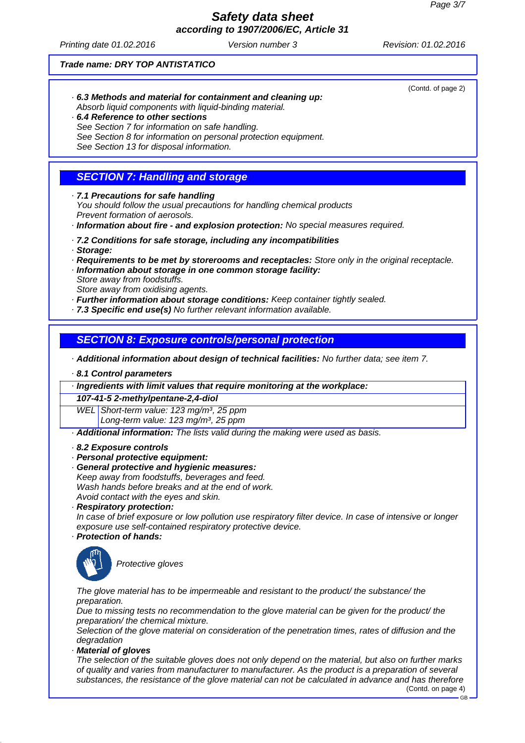Printing date 01.02.2016 **Version number 3** Revision: 01.02.2016

(Contd. of page 2)

GB

#### *Trade name: DRY TOP ANTISTATICO*

- *· 6.3 Methods and material for containment and cleaning up: Absorb liquid components with liquid-binding material.*
- *· 6.4 Reference to other sections See Section 7 for information on safe handling. See Section 8 for information on personal protection equipment. See Section 13 for disposal information.*

# *SECTION 7: Handling and storage*

*· 7.1 Precautions for safe handling*

*You should follow the usual precautions for handling chemical products Prevent formation of aerosols.*

- *· Information about fire and explosion protection: No special measures required.*
- *· 7.2 Conditions for safe storage, including any incompatibilities*
- *· Storage:*
- *· Requirements to be met by storerooms and receptacles: Store only in the original receptacle.*
- *· Information about storage in one common storage facility: Store away from foodstuffs.*
- *Store away from oxidising agents.*
- *· Further information about storage conditions: Keep container tightly sealed.*
- *· 7.3 Specific end use(s) No further relevant information available.*

### *SECTION 8: Exposure controls/personal protection*

*· Additional information about design of technical facilities: No further data; see item 7.*

*· 8.1 Control parameters*

*· Ingredients with limit values that require monitoring at the workplace:*

#### *107-41-5 2-methylpentane-2,4-diol*

*WEL Short-term value: 123 mg/m³, 25 ppm*

*Long-term value: 123 mg/m³, 25 ppm*

- *· Additional information: The lists valid during the making were used as basis.*
- *· 8.2 Exposure controls*
- *· Personal protective equipment:*
- *· General protective and hygienic measures: Keep away from foodstuffs, beverages and feed. Wash hands before breaks and at the end of work. Avoid contact with the eyes and skin.*
- *· Respiratory protection:*

*In case of brief exposure or low pollution use respiratory filter device. In case of intensive or longer exposure use self-contained respiratory protective device.*

*· Protection of hands:*



*Protective gloves*

*The glove material has to be impermeable and resistant to the product/ the substance/ the preparation.*

*Due to missing tests no recommendation to the glove material can be given for the product/ the preparation/ the chemical mixture.*

*Selection of the glove material on consideration of the penetration times, rates of diffusion and the degradation*

*· Material of gloves*

*The selection of the suitable gloves does not only depend on the material, but also on further marks of quality and varies from manufacturer to manufacturer. As the product is a preparation of several substances, the resistance of the glove material can not be calculated in advance and has therefore* (Contd. on page 4)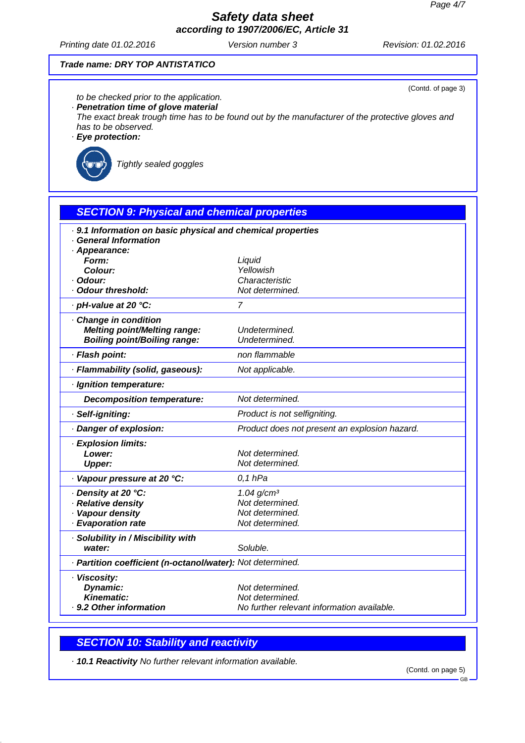Printing date 01.02.2016 **Version number 3** Revision: 01.02.2016

(Contd. of page 3)

#### *Trade name: DRY TOP ANTISTATICO*

*to be checked prior to the application.*

*· Penetration time of glove material*

*The exact break trough time has to be found out by the manufacturer of the protective gloves and has to be observed.*

*· Eye protection:*



*Tightly sealed goggles*

# *SECTION 9: Physical and chemical properties · 9.1 Information on basic physical and chemical properties · General Information · Appearance: Form: Liquid Colour: Yellowish · Odour: Characteristic · Odour threshold: Not determined. · pH-value at 20 °C: 7 · Change in condition Melting point/Melting range: Undetermined. Boiling point/Boiling range: Undetermined. · Flash point: non flammable · Flammability (solid, gaseous): Not applicable. · Ignition temperature: Decomposition temperature: Not determined. · Self-igniting: Product is not selfigniting. · Danger of explosion: Product does not present an explosion hazard. · Explosion limits: Lower: Not determined. Upper: Not determined. · Vapour pressure at 20 °C: 0,1 hPa · Density at 20 °C: 1.04 g/cm³ · Relative density Not determined. · Vapour density Not determined. · Evaporation rate Not determined. · Solubility in / Miscibility with water: Soluble. · Partition coefficient (n-octanol/water): Not determined. · Viscosity:* **Dynamic:** Not determined. *Kinematic: Not determined. · 9.2 Other information No further relevant information available.*

### *SECTION 10: Stability and reactivity*

*· 10.1 Reactivity No further relevant information available.*

(Contd. on page 5)

GB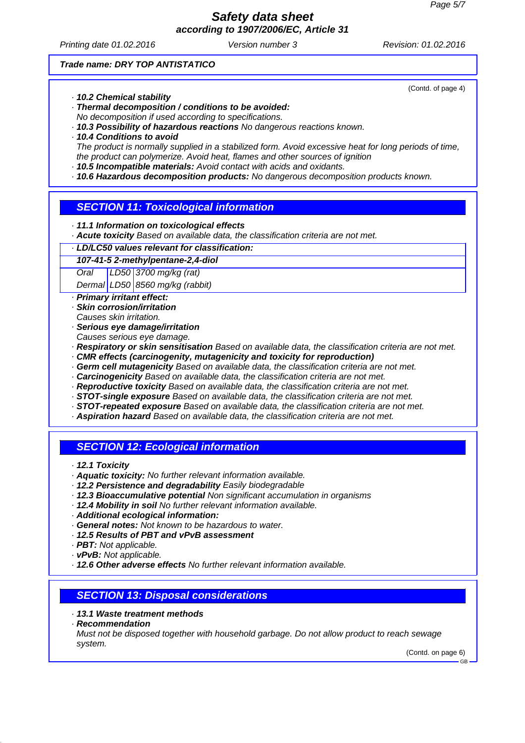Printing date 01.02.2016 **Version number 3** Revision: 01.02.2016

(Contd. of page 4)

#### *Trade name: DRY TOP ANTISTATICO*

- *· 10.2 Chemical stability*
- *· Thermal decomposition / conditions to be avoided: No decomposition if used according to specifications.*
- *· 10.3 Possibility of hazardous reactions No dangerous reactions known.*
- *· 10.4 Conditions to avoid*

*The product is normally supplied in a stabilized form. Avoid excessive heat for long periods of time, the product can polymerize. Avoid heat, flames and other sources of ignition*

- *· 10.5 Incompatible materials: Avoid contact with acids and oxidants.*
- *· 10.6 Hazardous decomposition products: No dangerous decomposition products known.*

### *SECTION 11: Toxicological information*

- *· 11.1 Information on toxicological effects*
- *· Acute toxicity Based on available data, the classification criteria are not met.*
- *· LD/LC50 values relevant for classification:*

#### *107-41-5 2-methylpentane-2,4-diol*

*Oral LD50 3700 mg/kg (rat)*

*Dermal LD50 8560 mg/kg (rabbit)*

- *· Primary irritant effect:*
- *· Skin corrosion/irritation*
- *Causes skin irritation.*
- *· Serious eye damage/irritation*
- *Causes serious eye damage.*
- *· Respiratory or skin sensitisation Based on available data, the classification criteria are not met.*
- *· CMR effects (carcinogenity, mutagenicity and toxicity for reproduction)*
- *· Germ cell mutagenicity Based on available data, the classification criteria are not met.*
- *· Carcinogenicity Based on available data, the classification criteria are not met.*
- *· Reproductive toxicity Based on available data, the classification criteria are not met.*
- *· STOT-single exposure Based on available data, the classification criteria are not met.*
- *· STOT-repeated exposure Based on available data, the classification criteria are not met.*
- *· Aspiration hazard Based on available data, the classification criteria are not met.*

## *SECTION 12: Ecological information*

- *· 12.1 Toxicity*
- *· Aquatic toxicity: No further relevant information available.*
- *· 12.2 Persistence and degradability Easily biodegradable*
- *· 12.3 Bioaccumulative potential Non significant accumulation in organisms*
- *· 12.4 Mobility in soil No further relevant information available.*
- *· Additional ecological information:*
- *· General notes: Not known to be hazardous to water.*
- *· 12.5 Results of PBT and vPvB assessment*
- *· PBT: Not applicable.*
- *· vPvB: Not applicable.*
- *· 12.6 Other adverse effects No further relevant information available.*

### *SECTION 13: Disposal considerations*

- *· 13.1 Waste treatment methods*
- *· Recommendation*

*Must not be disposed together with household garbage. Do not allow product to reach sewage system.*

(Contd. on page 6)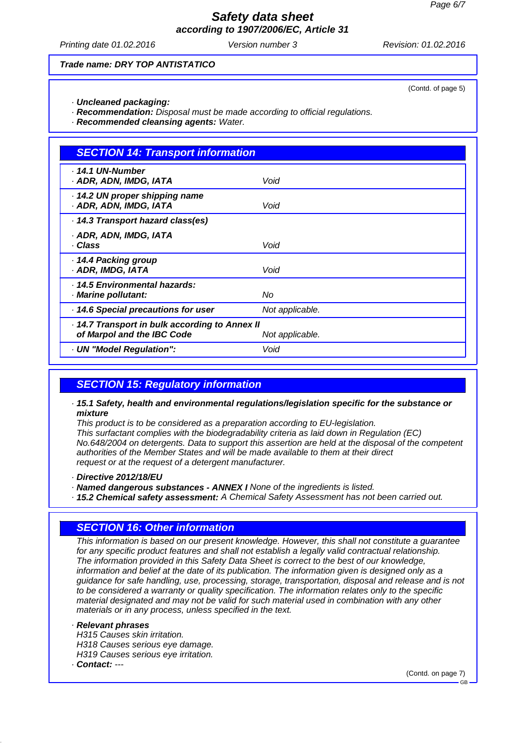# *Safety data sheet*

*according to 1907/2006/EC, Article 31*

Printing date 01.02.2016 **Version number 3** Revision: 01.02.2016

(Contd. of page 5)

#### *Trade name: DRY TOP ANTISTATICO*

- *· Uncleaned packaging:*
- *· Recommendation: Disposal must be made according to official regulations.*
- *· Recommended cleansing agents: Water.*

# *SECTION 14: Transport information · 14.1 UN-Number · ADR, ADN, IMDG, IATA Void · 14.2 UN proper shipping name · ADR, ADN, IMDG, IATA Void · 14.3 Transport hazard class(es) · ADR, ADN, IMDG, IATA · Class Void · 14.4 Packing group · ADR, IMDG, IATA Void · 14.5 Environmental hazards: · Marine pollutant: No · 14.6 Special precautions for user Not applicable. · 14.7 Transport in bulk according to Annex II of Marpol and the IBC Code Not applicable. · UN "Model Regulation": Void*

## *SECTION 15: Regulatory information*

*· 15.1 Safety, health and environmental regulations/legislation specific for the substance or mixture*

*This product is to be considered as a preparation according to EU-legislation. This surfactant complies with the biodegradability criteria as laid down in Regulation (EC) No.648/2004 on detergents. Data to support this assertion are held at the disposal of the competent authorities of the Member States and will be made available to them at their direct request or at the request of a detergent manufacturer.*

- *· Directive 2012/18/EU*
- *· Named dangerous substances ANNEX I None of the ingredients is listed.*
- *· 15.2 Chemical safety assessment: A Chemical Safety Assessment has not been carried out.*

## *SECTION 16: Other information*

*This information is based on our present knowledge. However, this shall not constitute a guarantee for any specific product features and shall not establish a legally valid contractual relationship. The information provided in this Safety Data Sheet is correct to the best of our knowledge, information and belief at the date of its publication. The information given is designed only as a guidance for safe handling, use, processing, storage, transportation, disposal and release and is not to be considered a warranty or quality specification. The information relates only to the specific material designated and may not be valid for such material used in combination with any other materials or in any process, unless specified in the text.*

### *· Relevant phrases*

- *H315 Causes skin irritation. H318 Causes serious eye damage. H319 Causes serious eye irritation.*
- *· Contact: ---*

(Contd. on page 7)

GB